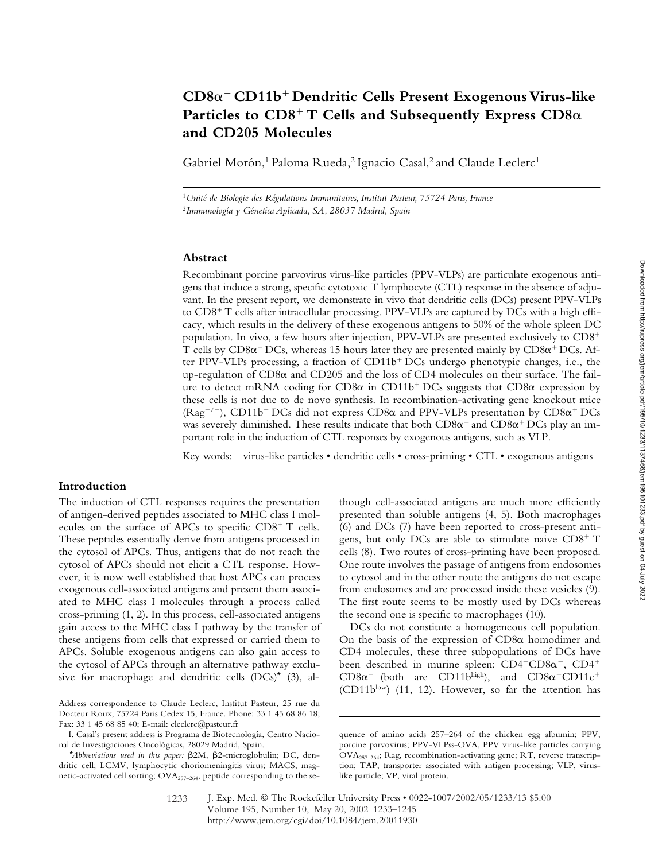# **CD8**- **CD11b Dendritic Cells Present Exogenous Virus-like**  Particles to  $CD8^+$  T Cells and Subsequently Express  $CD8\alpha$ **and CD205 Molecules**

Gabriel Morón,<sup>1</sup> Paloma Rueda,<sup>2</sup> Ignacio Casal,<sup>2</sup> and Claude Leclerc<sup>1</sup>

<sup>1</sup>*Unité de Biologie des Régulations Immunitaires, Institut Pasteur, 75724 Paris, France* <sup>2</sup>*Immunología y Génetica Aplicada, SA, 28037 Madrid, Spain*

# **Abstract**

Recombinant porcine parvovirus virus-like particles (PPV-VLPs) are particulate exogenous antigens that induce a strong, specific cytotoxic T lymphocyte (CTL) response in the absence of adjuvant. In the present report, we demonstrate in vivo that dendritic cells (DCs) present PPV-VLPs to  $CD8^+$  T cells after intracellular processing. PPV-VLPs are captured by DCs with a high efficacy, which results in the delivery of these exogenous antigens to 50% of the whole spleen DC population. In vivo*,* a few hours after injection, PPV-VLPs are presented exclusively to CD8 T cells by  $CD8\alpha$ <sup>-</sup> DCs, whereas 15 hours later they are presented mainly by  $CD8\alpha$ <sup>+</sup> DCs. After PPV-VLPs processing, a fraction of  $CD11b<sup>+</sup>DCs$  undergo phenotypic changes, i.e., the up-regulation of CD8 $\alpha$  and CD205 and the loss of CD4 molecules on their surface. The failure to detect mRNA coding for CD8 $\alpha$  in CD11b<sup>+</sup> DCs suggests that CD8 $\alpha$  expression by these cells is not due to de novo synthesis. In recombination-activating gene knockout mice (Rag<sup>-/-</sup>), CD11b<sup>+</sup> DCs did not express CD8 $\alpha$  and PPV-VLPs presentation by CD8 $\alpha^+$  DCs was severely diminished. These results indicate that both  $CD8\alpha^-$  and  $CD8\alpha^+$  DCs play an important role in the induction of CTL responses by exogenous antigens, such as VLP.

Key words: virus-like particles • dendritic cells • cross-priming • CTL • exogenous antigens

# **Introduction**

The induction of CTL responses requires the presentation of antigen-derived peptides associated to MHC class I molecules on the surface of APCs to specific  $CD8<sup>+</sup>$  T cells. These peptides essentially derive from antigens processed in the cytosol of APCs. Thus, antigens that do not reach the cytosol of APCs should not elicit a CTL response. However, it is now well established that host APCs can process exogenous cell-associated antigens and present them associated to MHC class I molecules through a process called cross-priming (1, 2). In this process, cell-associated antigens gain access to the MHC class I pathway by the transfer of these antigens from cells that expressed or carried them to APCs. Soluble exogenous antigens can also gain access to the cytosol of APCs through an alternative pathway exclusive for macrophage and dendritic cells  $(DCs)^*$  (3), although cell-associated antigens are much more efficiently presented than soluble antigens (4, 5). Both macrophages (6) and DCs (7) have been reported to cross-present antigens, but only DCs are able to stimulate naive  $CD8^+$  T cells (8). Two routes of cross-priming have been proposed. One route involves the passage of antigens from endosomes to cytosol and in the other route the antigens do not escape from endosomes and are processed inside these vesicles (9). The first route seems to be mostly used by DCs whereas the second one is specific to macrophages (10).

DCs do not constitute a homogeneous cell population. On the basis of the expression of  $CD8\alpha$  homodimer and CD4 molecules, these three subpopulations of DCs have been described in murine spleen:  $CD4-CD8\alpha^{-}$ ,  $CD4^{+}$ CD8 $\alpha$ <sup>-</sup> (both are CD11b<sup>high</sup>), and CD8 $\alpha$ <sup>+</sup>CD11c<sup>+</sup> (CD11blow) (11, 12). However, so far the attention has

Address correspondence to Claude Leclerc, Institut Pasteur, 25 rue du Docteur Roux, 75724 Paris Cedex 15, France. Phone: 33 1 45 68 86 18; Fax: 33 1 45 68 85 40; E-mail: cleclerc@pasteur.fr

I. Casal's present address is Programa de Biotecnología, Centro Nacional de Investigaciones Oncológicas, 28029 Madrid, Spain.

<sup>\*</sup>*Abbreviations used in this paper:*  $\beta$ 2M,  $\beta$ 2-microglobulin; DC, dendritic cell; LCMV, lymphocytic choriomeningitis virus; MACS, magnetic-activated cell sorting; OVA<sub>257-264</sub>, peptide corresponding to the se-

quence of amino acids 257–264 of the chicken egg albumin; PPV, porcine parvovirus; PPV-VLPss-OVA, PPV virus-like particles carrying  $\overline{\text{OVA}}_{257-264}$ ; Rag, recombination-activating gene; RT, reverse transcription; TAP, transporter associated with antigen processing; VLP, viruslike particle; VP, viral protein.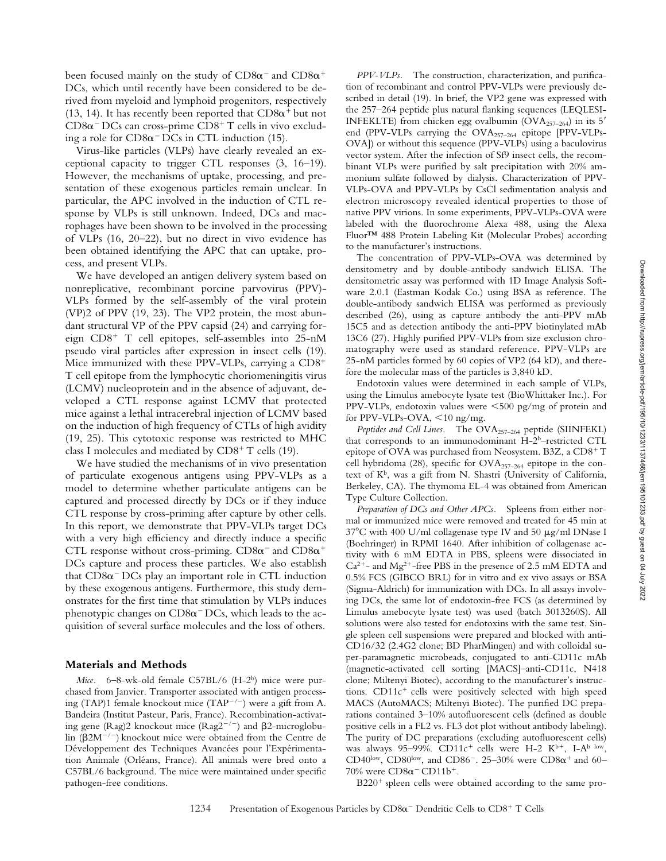been focused mainly on the study of  $CD8\alpha^-$  and  $CD8\alpha^+$ DCs, which until recently have been considered to be derived from myeloid and lymphoid progenitors, respectively (13, 14). It has recently been reported that  $CD8\alpha^+$  but not  $CD8\alpha$ <sup>-</sup> DCs can cross-prime  $CD8$ <sup>+</sup> T cells in vivo excluding a role for  $CD8\alpha$ <sup>-</sup> DCs in CTL induction (15).

Virus-like particles (VLPs) have clearly revealed an exceptional capacity to trigger CTL responses (3, 16–19). However, the mechanisms of uptake, processing, and presentation of these exogenous particles remain unclear. In particular, the APC involved in the induction of CTL response by VLPs is still unknown. Indeed, DCs and macrophages have been shown to be involved in the processing of VLPs (16, 20–22), but no direct in vivo evidence has been obtained identifying the APC that can uptake, process, and present VLPs.

We have developed an antigen delivery system based on nonreplicative, recombinant porcine parvovirus (PPV)- VLPs formed by the self-assembly of the viral protein (VP)2 of PPV (19, 23). The VP2 protein, the most abundant structural VP of the PPV capsid (24) and carrying foreign  $CD8<sup>+</sup>$  T cell epitopes, self-assembles into 25-nM pseudo viral particles after expression in insect cells (19). Mice immunized with these PPV-VLPs, carrying a CD8 T cell epitope from the lymphocytic choriomeningitis virus (LCMV) nucleoprotein and in the absence of adjuvant, developed a CTL response against LCMV that protected mice against a lethal intracerebral injection of LCMV based on the induction of high frequency of CTLs of high avidity (19, 25). This cytotoxic response was restricted to MHC class I molecules and mediated by  $CD8<sup>+</sup>$  T cells (19).

We have studied the mechanisms of in vivo presentation of particulate exogenous antigens using PPV-VLPs as a model to determine whether particulate antigens can be captured and processed directly by DCs or if they induce CTL response by cross-priming after capture by other cells. In this report, we demonstrate that PPV-VLPs target DCs with a very high efficiency and directly induce a specific CTL response without cross-priming.  $CD8\alpha^{-}$  and  $CD8\alpha^{+}$ DCs capture and process these particles. We also establish that  $CD8\alpha$ <sup>-</sup> DCs play an important role in CTL induction by these exogenous antigens. Furthermore, this study demonstrates for the first time that stimulation by VLPs induces phenotypic changes on  $CD8\alpha$ <sup>-</sup> DCs, which leads to the acquisition of several surface molecules and the loss of others.

#### **Materials and Methods**

*Mice.* 6–8-wk-old female C57BL/6 (H-2<sup>b</sup>) mice were purchased from Janvier. Transporter associated with antigen processing (TAP)1 female knockout mice (TAP<sup>-/-</sup>) were a gift from A. Bandeira (Institut Pasteur, Paris, France). Recombination-activating gene (Rag)2 knockout mice (Rag2<sup>-/-</sup>) and  $\beta$ 2-microglobulin ( $\beta$ 2M<sup>-/-</sup>) knockout mice were obtained from the Centre de Développement des Techniques Avancées pour l'Expérimentation Animale (Orléans, France). All animals were bred onto a C57BL/6 background. The mice were maintained under specific pathogen-free conditions.

*PPV-VLPs.* The construction, characterization, and purification of recombinant and control PPV-VLPs were previously described in detail (19). In brief, the VP2 gene was expressed with the 257–264 peptide plus natural flanking sequences (LEQLESI-INFEKLTE) from chicken egg ovalbumin (OVA $_{257-264}$ ) in its 5' end (PPV-VLPs carrying the OVA<sub>257-264</sub> epitope [PPV-VLPs-OVA]) or without this sequence (PPV-VLPs) using a baculovirus vector system. After the infection of Sf9 insect cells, the recombinant VLPs were purified by salt precipitation with 20% ammonium sulfate followed by dialysis. Characterization of PPV-VLPs-OVA and PPV-VLPs by CsCl sedimentation analysis and electron microscopy revealed identical properties to those of native PPV virions. In some experiments, PPV-VLPs-OVA were labeled with the fluorochrome Alexa 488, using the Alexa Fluor™ 488 Protein Labeling Kit (Molecular Probes) according to the manufacturer's instructions.

The concentration of PPV-VLPs-OVA was determined by densitometry and by double-antibody sandwich ELISA. The densitometric assay was performed with 1D Image Analysis Software 2.0.1 (Eastman Kodak Co.) using BSA as reference. The double-antibody sandwich ELISA was performed as previously described (26), using as capture antibody the anti-PPV mAb 15C5 and as detection antibody the anti-PPV biotinylated mAb 13C6 (27). Highly purified PPV-VLPs from size exclusion chromatography were used as standard reference. PPV-VLPs are 25-nM particles formed by 60 copies of VP2 (64 kD), and therefore the molecular mass of the particles is 3,840 kD.

Endotoxin values were determined in each sample of VLPs, using the Limulus amebocyte lysate test (BioWhittaker Inc.). For PPV-VLPs, endotoxin values were 500 pg/mg of protein and for PPV-VLPs-OVA,  $\leq 10$  ng/mg.

Peptides and Cell Lines. The OVA<sub>257-264</sub> peptide (SIINFEKL) that corresponds to an immunodominant H-2b–restricted CTL epitope of OVA was purchased from Neosystem. B3Z, a  $CD8^+T$ cell hybridoma (28), specific for  $\text{OVA}_{257-264}$  epitope in the context of Kb, was a gift from N. Shastri (University of California, Berkeley, CA). The thymoma EL-4 was obtained from American Type Culture Collection.

*Preparation of DCs and Other APCs.* Spleens from either normal or immunized mice were removed and treated for 45 min at 37°C with 400 U/ml collagenase type IV and 50  $\mu$ g/ml DNase I (Boehringer) in RPMI 1640. After inhibition of collagenase activity with 6 mM EDTA in PBS, spleens were dissociated in  $Ca<sup>2+</sup>$ - and Mg<sup>2+</sup>-free PBS in the presence of 2.5 mM EDTA and 0.5% FCS (GIBCO BRL) for in vitro and ex vivo assays or BSA (Sigma-Aldrich) for immunization with DCs. In all assays involving DCs, the same lot of endotoxin-free FCS (as determined by Limulus amebocyte lysate test) was used (batch 3013260S). All solutions were also tested for endotoxins with the same test. Single spleen cell suspensions were prepared and blocked with anti-CD16/32 (2.4G2 clone; BD PharMingen) and with colloidal super-paramagnetic microbeads, conjugated to anti-CD11c mAb (magnetic-activated cell sorting [MACS]–anti-CD11c, N418 clone; Miltenyi Biotec), according to the manufacturer's instructions.  $CD11c<sup>+</sup>$  cells were positively selected with high speed MACS (AutoMACS; Miltenyi Biotec). The purified DC preparations contained 3–10% autofluorescent cells (defined as double positive cells in a FL2 vs. FL3 dot plot without antibody labeling). The purity of DC preparations (excluding autofluorescent cells) was always 95-99%. CD11c<sup>+</sup> cells were H-2 K<sup>b+</sup>, I-A<sup>b low</sup>, CD40low, CD80low, and CD86<sup>-</sup>. 25-30% were CD8 $\alpha^+$  and 60- $70\%$  were  $CD8\alpha$ <sup>-</sup>  $CD11b$ <sup>+</sup>.

 $B220<sup>+</sup>$  spleen cells were obtained according to the same pro-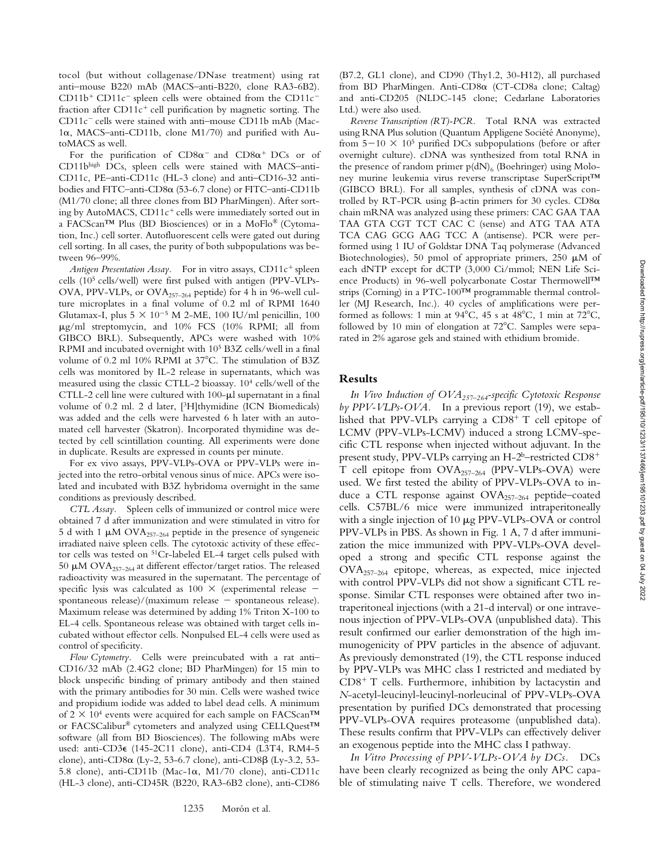tocol (but without collagenase/DNase treatment) using rat anti–mouse B220 mAb (MACS–anti-B220, clone RA3-6B2).  $CD11b<sup>+</sup> CD11c<sup>-</sup>$  spleen cells were obtained from the  $CD11c$ fraction after  $CD11c<sup>+</sup>$  cell purification by magnetic sorting. The CD11c<sup>-</sup> cells were stained with anti-mouse CD11b mAb (Mac-1α, MACS-anti-CD11b, clone M1/70) and purified with AutoMACS as well.

For the purification of  $CD8\alpha^{-}$  and  $CD8\alpha^{+}$  DCs or of CD11bhigh DCs, spleen cells were stained with MACS–anti-CD11c, PE–anti-CD11c (HL-3 clone) and anti–CD16-32 antibodies and FITC–anti-CD8α (53-6.7 clone) or FITC–anti-CD11b (M1/70 clone; all three clones from BD PharMingen). After sorting by AutoMACS,  $CD11c<sup>+</sup>$  cells were immediately sorted out in a FACScan™ Plus (BD Biosciences) or in a MoFlo® (Cytomation, Inc.) cell sorter. Autofluorescent cells were gated out during cell sorting. In all cases, the purity of both subpopulations was between 96–99%.

*Antigen Presentation Assay.* For in vitro assays, CD11c<sup>+</sup> spleen cells (105 cells/well) were first pulsed with antigen (PPV-VLPs-OVA, PPV-VLPs, or OVA257–264 peptide) for 4 h in 96-well culture microplates in a final volume of 0.2 ml of RPMI 1640 Glutamax-I, plus  $5 \times 10^{-5}$  M 2-ME, 100 IU/ml penicillin, 100  $\mu$ g/ml streptomycin, and 10% FCS (10% RPMI; all from GIBCO BRL). Subsequently, APCs were washed with 10% RPMI and incubated overnight with 105 B3Z cells/well in a final volume of 0.2 ml 10% RPMI at 37°C. The stimulation of B3Z cells was monitored by IL-2 release in supernatants, which was measured using the classic CTLL-2 bioassay. 104 cells/well of the CTLL-2 cell line were cultured with  $100-\mu l$  supernatant in a final volume of 0.2 ml. 2 d later, [3H]thymidine (ICN Biomedicals) was added and the cells were harvested 6 h later with an automated cell harvester (Skatron). Incorporated thymidine was detected by cell scintillation counting. All experiments were done in duplicate. Results are expressed in counts per minute.

For ex vivo assays, PPV-VLPs-OVA or PPV-VLPs were injected into the retro-orbital venous sinus of mice. APCs were isolated and incubated with B3Z hybridoma overnight in the same conditions as previously described.

*CTL Assay.* Spleen cells of immunized or control mice were obtained 7 d after immunization and were stimulated in vitro for 5 d with 1  $\mu$ M OVA<sub>257-264</sub> peptide in the presence of syngeneic irradiated naive spleen cells. The cytotoxic activity of these effector cells was tested on 51Cr-labeled EL-4 target cells pulsed with 50  $\mu$ M OVA<sub>257-264</sub> at different effector/target ratios. The released radioactivity was measured in the supernatant. The percentage of specific lysis was calculated as  $100 \times$  (experimental release  $$ spontaneous release)/(maximum release  $-$  spontaneous release). Maximum release was determined by adding 1% Triton X-100 to EL-4 cells. Spontaneous release was obtained with target cells incubated without effector cells. Nonpulsed EL-4 cells were used as control of specificity.

*Flow Cytometry.* Cells were preincubated with a rat anti– CD16/32 mAb (2.4G2 clone; BD PharMingen) for 15 min to block unspecific binding of primary antibody and then stained with the primary antibodies for 30 min. Cells were washed twice and propidium iodide was added to label dead cells. A minimum of  $2 \times 10^4$  events were acquired for each sample on FACScan<sup>TM</sup> or FACSCalibur® cytometers and analyzed using CELLQuest™ software (all from BD Biosciences). The following mAbs were used: anti-CD3 $\epsilon$  (145-2C11 clone), anti-CD4 (L3T4, RM4-5 clone), anti-CD8α (Ly-2, 53-6.7 clone), anti-CD8β (Ly-3.2, 53-5.8 clone), anti-CD11b (Mac-1 $\alpha$ , M1/70 clone), anti-CD11c (HL-3 clone), anti-CD45R (B220, RA3-6B2 clone), anti-CD86

1235 Morón et al.

(B7.2, GL1 clone), and CD90 (Thy1.2, 30-H12), all purchased from BD PharMingen. Anti-CD8 $\alpha$  (CT-CD8a clone; Caltag) and anti-CD205 (NLDC-145 clone; Cedarlane Laboratories Ltd.) were also used.

*Reverse Transcription (RT)-PCR.* Total RNA was extracted using RNA Plus solution (Quantum Appligene Société Anonyme), from  $5-10 \times 10^5$  purified DCs subpopulations (before or after overnight culture). cDNA was synthesized from total RNA in the presence of random primer  $p(dN)_{6}$  (Boehringer) using Moloney murine leukemia virus reverse transcriptase SuperScript™ (GIBCO BRL). For all samples, synthesis of cDNA was controlled by RT-PCR using  $\beta$ -actin primers for 30 cycles. CD8 $\alpha$ chain mRNA was analyzed using these primers: CAC GAA TAA TAA GTA CGT TCT CAC C (sense) and ATG TAA ATA TCA CAG GCG AAG TCC A (antisense). PCR were performed using 1 IU of Goldstar DNA Taq polymerase (Advanced Biotechnologies), 50 pmol of appropriate primers, 250  $\mu$ M of each dNTP except for dCTP (3,000 Ci/mmol; NEN Life Science Products) in 96-well polycarbonate Costar Thermowell™ strips (Corning) in a PTC-100™ programmable thermal controller (MJ Research, Inc.). 40 cycles of amplifications were performed as follows: 1 min at  $94^{\circ}$ C, 45 s at  $48^{\circ}$ C, 1 min at  $72^{\circ}$ C, followed by 10 min of elongation at  $72^{\circ}$ C. Samples were separated in 2% agarose gels and stained with ethidium bromide.

### **Results**

*In Vivo Induction of OVA257–264-specific Cytotoxic Response by PPV-VLPs-OVA.* In a previous report (19), we established that PPV-VLPs carrying a  $CD8^+$  T cell epitope of LCMV (PPV-VLPs-LCMV) induced a strong LCMV-specific CTL response when injected without adjuvant. In the present study, PPV-VLPs carrying an H-2<sup>b</sup>–restricted CD8<sup>+</sup> T cell epitope from OVA257–264 (PPV-VLPs-OVA) were used. We first tested the ability of PPV-VLPs-OVA to induce a CTL response against OVA<sub>257-264</sub> peptide-coated cells. C57BL/6 mice were immunized intraperitoneally with a single injection of  $10 \mu g$  PPV-VLPs-OVA or control PPV-VLPs in PBS. As shown in Fig. 1 A, 7 d after immunization the mice immunized with PPV-VLPs-OVA developed a strong and specific CTL response against the  $OVA_{257-264}$  epitope, whereas, as expected, mice injected with control PPV-VLPs did not show a significant CTL response. Similar CTL responses were obtained after two intraperitoneal injections (with a 21-d interval) or one intravenous injection of PPV-VLPs-OVA (unpublished data). This result confirmed our earlier demonstration of the high immunogenicity of PPV particles in the absence of adjuvant. As previously demonstrated (19), the CTL response induced by PPV-VLPs was MHC class I restricted and mediated by  $CD8<sup>+</sup>$  T cells. Furthermore, inhibition by lactacystin and *N*-acetyl-leucinyl-leucinyl-norleucinal of PPV-VLPs-OVA presentation by purified DCs demonstrated that processing PPV-VLPs-OVA requires proteasome (unpublished data). These results confirm that PPV-VLPs can effectively deliver an exogenous peptide into the MHC class I pathway.

*In Vitro Processing of PPV-VLPs-OVA by DCs.* DCs have been clearly recognized as being the only APC capable of stimulating naive T cells. Therefore, we wondered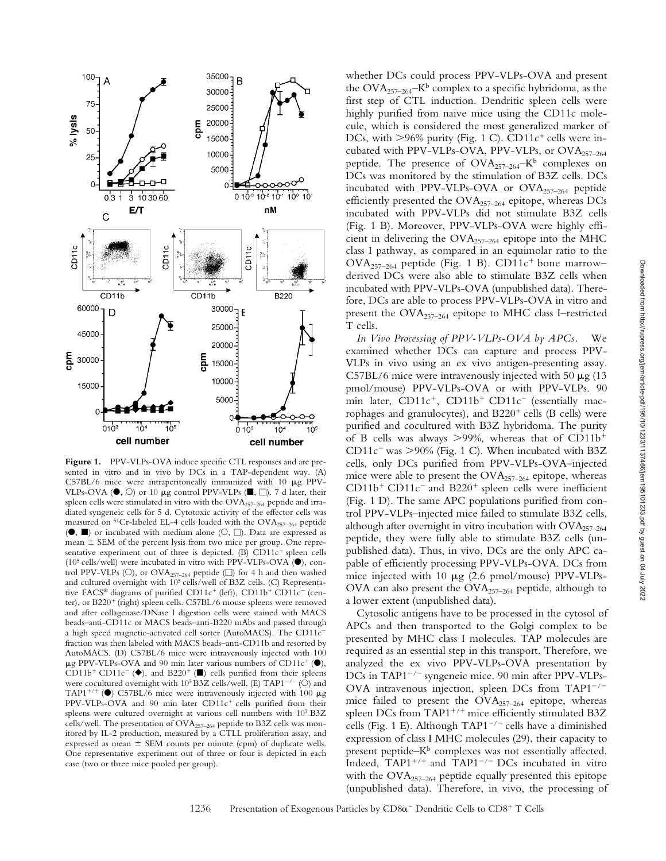

Figure 1. PPV-VLPs-OVA induce specific CTL responses and are presented in vitro and in vivo by DCs in a TAP-dependent way. (A)  $C57BL/6$  mice were intraperitoneally immunized with 10  $\mu$ g PPV-VLPs-OVA ( $\bullet$ ,  $\circlearrowright$ ) or 10 µg control PPV-VLPs ( $\blacksquare$ ,  $\Box$ ). 7 d later, their spleen cells were stimulated in vitro with the OVA257–264 peptide and irradiated syngeneic cells for 5 d. Cytotoxic activity of the effector cells was measured on  ${}^{51}Cr$ -labeled EL-4 cells loaded with the OVA<sub>257–264</sub> peptide  $($   $\bullet$ ,  $\blacksquare$ ) or incubated with medium alone ( $\bigcirc$ ,  $\Box$ ). Data are expressed as mean  $\pm$  SEM of the percent lysis from two mice per group. One representative experiment out of three is depicted. (B)  $CD11c<sup>+</sup>$  spleen cells  $(10<sup>5</sup>$  cells/well) were incubated in vitro with PPV-VLPs-OVA ( $\bullet$ ), control PPV-VLPs ( $\circ$ ), or OVA<sub>257-264</sub> peptide ( $\Box$ ) for 4 h and then washed and cultured overnight with 10<sup>5</sup> cells/well of B3Z cells. (C) Representative FACS® diagrams of purified CD11c<sup>+</sup> (left), CD11b<sup>+</sup> CD11c<sup>-</sup> (center), or B220<sup>+</sup> (right) spleen cells. C57BL/6 mouse spleens were removed and after collagenase/DNase I digestion cells were stained with MACS beads–anti-CD11c or MACS beads–anti-B220 mAbs and passed through a high speed magnetic-activated cell sorter (AutoMACS). The CD11c fraction was then labeled with MACS beads–anti-CD11b and resorted by AutoMACS. (D) C57BL/6 mice were intravenously injected with 100  $\mu$ g PPV-VLPs-OVA and 90 min later various numbers of CD11c<sup>+</sup> ( $\bullet$ ), CD11b<sup>+</sup> CD11c<sup>-</sup> ( $\blacklozenge$ ), and B220<sup>+</sup> ( $\square$ ) cells purified from their spleens were cocultured overnight with  $10^5$  B3Z cells/well. (E) TAP1<sup>-/-</sup> (O) and TAP1<sup>+/+</sup> ( $\bullet$ ) C57BL/6 mice were intravenously injected with 100  $\mu$ g  $PPV-VLPs-OVA$  and 90 min later  $CD11c^{+}$  cells purified from their spleens were cultured overnight at various cell numbers with 10<sup>5</sup> B3Z cells/well. The presentation of OVA<sub>257-264</sub> peptide to B3Z cells was monitored by IL-2 production, measured by a CTLL proliferation assay, and expressed as mean  $\pm$  SEM counts per minute (cpm) of duplicate wells. One representative experiment out of three or four is depicted in each case (two or three mice pooled per group).

whether DCs could process PPV-VLPs-OVA and present the  $\text{OVA}_{257-264}$ –K<sup>b</sup> complex to a specific hybridoma, as the first step of CTL induction. Dendritic spleen cells were highly purified from naive mice using the CD11c molecule, which is considered the most generalized marker of DCs, with  $>96\%$  purity (Fig. 1 C). CD11c<sup>+</sup> cells were incubated with PPV-VLPs-OVA, PPV-VLPs, or  $OVA_{257-264}$ peptide. The presence of  $\text{OVA}_{257-264}$ –K<sup>b</sup> complexes on DCs was monitored by the stimulation of B3Z cells. DCs incubated with PPV-VLPs-OVA or  $OVA_{257-264}$  peptide efficiently presented the OVA<sub>257-264</sub> epitope, whereas DCs incubated with PPV-VLPs did not stimulate B3Z cells (Fig. 1 B). Moreover, PPV-VLPs-OVA were highly efficient in delivering the OVA257–264 epitope into the MHC class I pathway, as compared in an equimolar ratio to the  $\text{OVA}_{257-264}$  peptide (Fig. 1 B). CD11c<sup>+</sup> bone marrow– derived DCs were also able to stimulate B3Z cells when incubated with PPV-VLPs-OVA (unpublished data). Therefore, DCs are able to process PPV-VLPs-OVA in vitro and present the OVA257–264 epitope to MHC class I–restricted T cells.

*In Vivo Processing of PPV-VLPs-OVA by APCs.* We examined whether DCs can capture and process PPV-VLPs in vivo using an ex vivo antigen-presenting assay. C57BL/6 mice were intravenously injected with 50  $\mu$ g (13 pmol/mouse) PPV-VLPs-OVA or with PPV-VLPs. 90 min later,  $CD11c^{+}$ ,  $CD11b^{+}$   $CD11c^{-}$  (essentially macrophages and granulocytes), and  $B220<sup>+</sup>$  cells (B cells) were purified and cocultured with B3Z hybridoma. The purity of B cells was always  $>99\%$ , whereas that of CD11b<sup>+</sup>  $CD11c$ <sup>-</sup> was  $>90\%$  (Fig. 1 C). When incubated with B3Z cells, only DCs purified from PPV-VLPs-OVA–injected mice were able to present the OVA<sub>257-264</sub> epitope, whereas  $CD11b<sup>+</sup> CD11c<sup>-</sup>$  and B220<sup>+</sup> spleen cells were inefficient (Fig. 1 D). The same APC populations purified from control PPV-VLPs–injected mice failed to stimulate B3Z cells, although after overnight in vitro incubation with  $OVA_{257-264}$ peptide, they were fully able to stimulate B3Z cells (unpublished data). Thus, in vivo, DCs are the only APC capable of efficiently processing PPV-VLPs-OVA. DCs from mice injected with 10  $\mu$ g (2.6 pmol/mouse) PPV-VLPs-OVA can also present the  $OVA_{257-264}$  peptide, although to a lower extent (unpublished data).

Cytosolic antigens have to be processed in the cytosol of APCs and then transported to the Golgi complex to be presented by MHC class I molecules. TAP molecules are required as an essential step in this transport. Therefore, we analyzed the ex vivo PPV-VLPs-OVA presentation by DCs in TAP1<sup>-/-</sup> syngeneic mice. 90 min after PPV-VLPs-OVA intravenous injection, spleen DCs from  $TAP1^{-/-}$ mice failed to present the  $OVA_{257-264}$  epitope, whereas spleen DCs from TAP1+/+ mice efficiently stimulated B3Z cells (Fig. 1 E). Although  $TAP1^{-/-}$  cells have a diminished expression of class I MHC molecules (29), their capacity to present peptide– $K^b$  complexes was not essentially affected. Indeed,  $TAP1^{+/+}$  and  $TAP1^{-/-}$  DCs incubated in vitro with the OVA<sub>257-264</sub> peptide equally presented this epitope (unpublished data). Therefore, in vivo, the processing of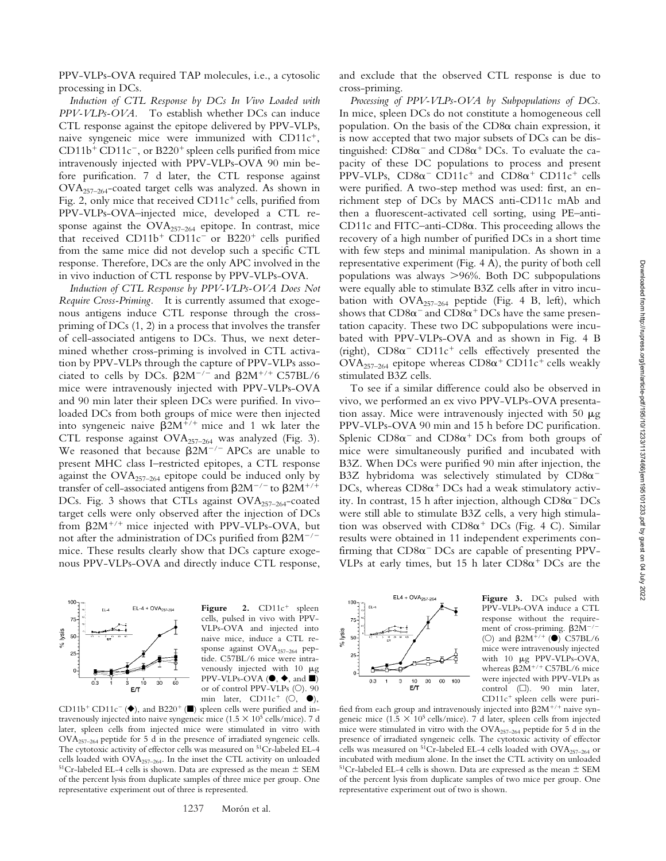PPV-VLPs-OVA required TAP molecules, i.e., a cytosolic processing in DCs.

*Induction of CTL Response by DCs In Vivo Loaded with PPV-VLPs-OVA.* To establish whether DCs can induce CTL response against the epitope delivered by PPV-VLPs, naive syngeneic mice were immunized with  $CD11c^+$ ,  $CD11b<sup>+</sup>CD11c<sup>-</sup>$ , or B220<sup>+</sup> spleen cells purified from mice intravenously injected with PPV-VLPs-OVA 90 min before purification. 7 d later, the CTL response against  $OVA_{257-264}$ -coated target cells was analyzed. As shown in Fig. 2, only mice that received  $CD11c^+$  cells, purified from PPV-VLPs-OVA–injected mice, developed a CTL response against the  $OVA_{257-264}$  epitope. In contrast, mice that received  $CD11b^{+}CD11c^{-}$  or  $B220^{+}$  cells purified from the same mice did not develop such a specific CTL response. Therefore, DCs are the only APC involved in the in vivo induction of CTL response by PPV-VLPs-OVA.

*Induction of CTL Response by PPV-VLPs-OVA Does Not Require Cross-Priming.* It is currently assumed that exogenous antigens induce CTL response through the crosspriming of DCs (1, 2) in a process that involves the transfer of cell-associated antigens to DCs. Thus, we next determined whether cross-priming is involved in CTL activation by PPV-VLPs through the capture of PPV-VLPs associated to cells by DCs.  $\beta 2M^{-/-}$  and  $\beta 2M^{+/+}$  C57BL/6 mice were intravenously injected with PPV-VLPs-OVA and 90 min later their spleen DCs were purified. In vivo– loaded DCs from both groups of mice were then injected into syngeneic naive  $\beta 2M^{+/+}$  mice and 1 wk later the CTL response against OVA257–264 was analyzed (Fig. 3). We reasoned that because  $\beta 2M^{-/-}$  APCs are unable to present MHC class I–restricted epitopes, a CTL response against the  $OVA_{257-264}$  epitope could be induced only by transfer of cell-associated antigens from  $\beta 2M^{-/-}$  to  $\beta 2M^{+/+}$ DCs. Fig. 3 shows that CTLs against OVA<sub>257-264</sub>-coated target cells were only observed after the injection of DCs from  $\beta 2M^{+/+}$  mice injected with PPV-VLPs-OVA, but not after the administration of DCs purified from  $\beta 2M^{-/-}$ mice. These results clearly show that DCs capture exogenous PPV-VLPs-OVA and directly induce CTL response,



Figure 2. CD11c<sup>+</sup> spleen cells, pulsed in vivo with PPV-VLPs-OVA and injected into naive mice, induce a CTL response against OVA257–264 peptide. C57BL/6 mice were intravenously injected with  $10 \mu$ g  $PPV-VLPs-OVA$  ( $\blacklozenge, \blacklozenge,$  and  $\blacksquare$ ) or of control PPV-VLPs (O). 90 min later,  $CD11c^+$  (O,  $\bullet$ ),

CD11b<sup>+</sup> CD11c<sup>-</sup> ( $\blacklozenge$ ), and B220<sup>+</sup> ( $\square$ ) spleen cells were purified and intravenously injected into naive syngeneic mice  $(1.5 \times 10^5 \text{ cells/mice})$ . 7 d later, spleen cells from injected mice were stimulated in vitro with OVA257–264 peptide for 5 d in the presence of irradiated syngeneic cells. The cytotoxic activity of effector cells was measured on 51Cr-labeled EL-4 cells loaded with  $\text{OVA}_{257-264}$ . In the inset the CTL activity on unloaded  $^{51}\text{Cr-labeled EL-4 cells}$  is shown. Data are expressed as the mean  $\pm$  SEM of the percent lysis from duplicate samples of three mice per group. One representative experiment out of three is represented.

and exclude that the observed CTL response is due to cross-priming.

*Processing of PPV-VLPs-OVA by Subpopulations of DCs.* In mice, spleen DCs do not constitute a homogeneous cell population. On the basis of the  $CD8\alpha$  chain expression, it is now accepted that two major subsets of DCs can be distinguished:  $CD8\alpha^{-}$  and  $CD8\alpha^{+}$  DCs. To evaluate the capacity of these DC populations to process and present  $PPV-VLPs$ ,  $CD8\alpha$ <sup>-</sup>  $CD11c$ <sup>+</sup> and  $CD8\alpha$ <sup>+</sup>  $CD11c$ <sup>+</sup> cells were purified. A two-step method was used: first, an enrichment step of DCs by MACS anti-CD11c mAb and then a fluorescent-activated cell sorting, using PE–anti-CD11c and FITC-anti-CD8 $\alpha$ . This proceeding allows the recovery of a high number of purified DCs in a short time with few steps and minimal manipulation. As shown in a representative experiment (Fig. 4 A), the purity of both cell populations was always 96%. Both DC subpopulations were equally able to stimulate B3Z cells after in vitro incubation with  $OVA_{257-264}$  peptide (Fig. 4 B, left), which shows that  $CD8\alpha^-$  and  $CD8\alpha^+$  DCs have the same presentation capacity. These two DC subpopulations were incubated with PPV-VLPs-OVA and as shown in Fig. 4 B (right),  $CD8\alpha$ <sup>-</sup> CD11c<sup>+</sup> cells effectively presented the  $\text{OVA}_{257-264}$  epitope whereas  $\text{CD8}\alpha^+$  CD11c<sup>+</sup> cells weakly stimulated B3Z cells.

To see if a similar difference could also be observed in vivo, we performed an ex vivo PPV-VLPs-OVA presentation assay. Mice were intravenously injected with 50  $\mu$ g PPV-VLPs-OVA 90 min and 15 h before DC purification. Splenic  $CD8\alpha^-$  and  $CD8\alpha^+$  DCs from both groups of mice were simultaneously purified and incubated with B3Z. When DCs were purified 90 min after injection, the B3Z hybridoma was selectively stimulated by  $CD8\alpha^-$ DCs, whereas  $CD8\alpha^+$  DCs had a weak stimulatory activity. In contrast, 15 h after injection, although  $CD8\alpha^-DCs$ were still able to stimulate B3Z cells, a very high stimulation was observed with  $CD8\alpha^+$  DCs (Fig. 4 C). Similar results were obtained in 11 independent experiments confirming that  $CD8\alpha$ <sup>-</sup> DCs are capable of presenting PPV-VLPs at early times, but 15 h later  $CD8\alpha^+$  DCs are the



**Figure 3.** DCs pulsed with PPV-VLPs-OVA induce a CTL response without the requirement of cross-priming.  $\beta 2M^{-/-}$ (O) and  $\beta 2M^{+/+}$  ( $\bullet$ ) C57BL/6 mice were intravenously injected with  $10 \mu g$  PPV-VLPs-OVA, whereas  $\beta 2M^{+/+}$  C57BL/6 mice were injected with PPV-VLPs as control  $(\Box)$ . 90 min later, CD11c<sup>+</sup> spleen cells were puri-

fied from each group and intravenously injected into  $\beta 2M^{+/+}$  naive syngeneic mice  $(1.5 \times 10^5 \text{ cells/mice})$ . 7 d later, spleen cells from injected mice were stimulated in vitro with the  $\text{OVA}_{257-264}$  peptide for 5 d in the presence of irradiated syngeneic cells. The cytotoxic activity of effector cells was measured on  $5^{1}$ Cr-labeled EL-4 cells loaded with OVA<sub>257-264</sub> or incubated with medium alone. In the inset the CTL activity on unloaded  $51Cr$ -labeled EL-4 cells is shown. Data are expressed as the mean  $\pm$  SEM of the percent lysis from duplicate samples of two mice per group. One representative experiment out of two is shown.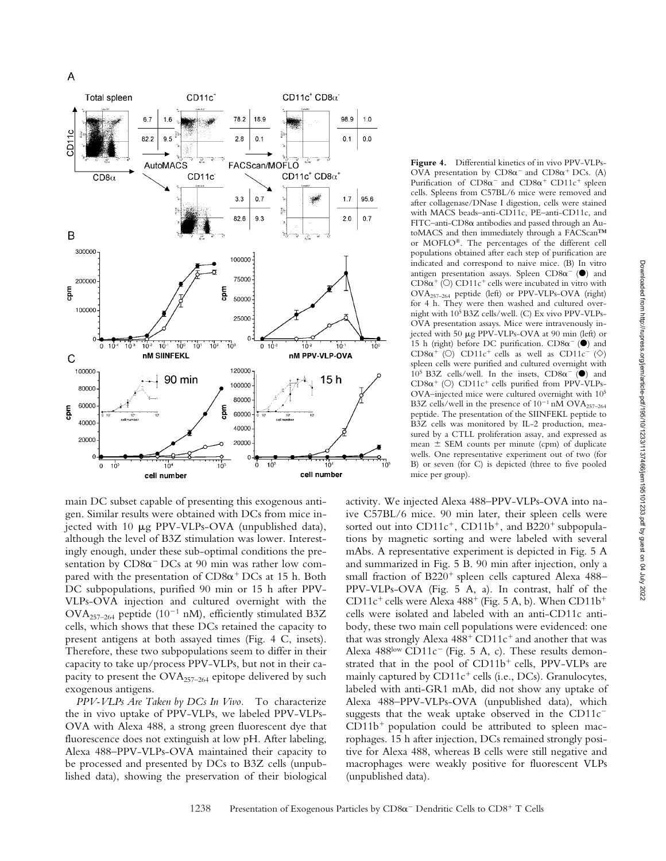

main DC subset capable of presenting this exogenous antigen. Similar results were obtained with DCs from mice injected with 10 µg PPV-VLPs-OVA (unpublished data), although the level of B3Z stimulation was lower. Interestingly enough, under these sub-optimal conditions the presentation by  $CD8\alpha$ <sup>-</sup> DCs at 90 min was rather low compared with the presentation of  $CD8\alpha^+$  DCs at 15 h. Both DC subpopulations, purified 90 min or 15 h after PPV-VLPs-OVA injection and cultured overnight with the OVA<sub>257-264</sub> peptide (10<sup>-1</sup> nM), efficiently stimulated B3Z cells, which shows that these DCs retained the capacity to present antigens at both assayed times (Fig. 4 C, insets). Therefore, these two subpopulations seem to differ in their capacity to take up/process PPV-VLPs, but not in their capacity to present the  $OVA_{257-264}$  epitope delivered by such exogenous antigens.

*PPV-VLPs Are Taken by DCs In Vivo.* To characterize the in vivo uptake of PPV-VLPs, we labeled PPV-VLPs-OVA with Alexa 488, a strong green fluorescent dye that fluorescence does not extinguish at low pH. After labeling, Alexa 488–PPV-VLPs-OVA maintained their capacity to be processed and presented by DCs to B3Z cells (unpublished data), showing the preservation of their biological

**Figure 4.** Differential kinetics of in vivo PPV-VLPs-OVA presentation by  $CD8\alpha^{-}$  and  $CD8\alpha^{+}$  DCs. (A) Purification of  $CD8\alpha^{-}$  and  $CD8\alpha^{+}$  CD11c<sup>+</sup> spleen cells. Spleens from C57BL/6 mice were removed and after collagenase/DNase I digestion, cells were stained with MACS beads–anti-CD11c, PE–anti-CD11c, and FITC-anti-CD8 $\alpha$  antibodies and passed through an AutoMACS and then immediately through a FACScan™ or MOFLO®. The percentages of the different cell populations obtained after each step of purification are indicated and correspond to naive mice. (B) In vitro antigen presentation assays. Spleen CD8 $\alpha^-$  ( $\bullet$ ) and  $CD8\alpha^+$  (O)  $CD11c^+$  cells were incubated in vitro with OVA257–264 peptide (left) or PPV-VLPs-OVA (right) for 4 h. They were then washed and cultured overnight with 105 B3Z cells/well. (C) Ex vivo PPV-VLPs-OVA presentation assays. Mice were intravenously injected with 50 µg PPV-VLPs-OVA at 90 min (left) or 15 h (right) before DC purification.  $CD8\alpha^{-}$  ( $\bullet$ ) and CD8 $\alpha^+$  (O) CD11c<sup>+</sup> cells as well as CD11c<sup>-</sup> ( $\diamond$ ) spleen cells were purified and cultured overnight with 10<sup>5</sup> B3Z cells/well. In the insets,  $CD8\alpha^{-}$  ( $\bullet$ ) and  $CD8\alpha^+$  (O)  $CD11c^+$  cells purified from PPV-VLPs-OVA–injected mice were cultured overnight with 105 B3Z cells/well in the presence of  $10^{-1}$  nM OVA<sub>257-264</sub> peptide. The presentation of the SIINFEKL peptide to B3Z cells was monitored by IL-2 production, measured by a CTLL proliferation assay, and expressed as mean  $\pm$  SEM counts per minute (cpm) of duplicate wells. One representative experiment out of two (for B) or seven (for C) is depicted (three to five pooled mice per group).

activity. We injected Alexa 488–PPV-VLPs-OVA into naive C57BL/6 mice. 90 min later, their spleen cells were sorted out into  $CD11c^+$ ,  $CD11b^+$ , and  $B220^+$  subpopulations by magnetic sorting and were labeled with several mAbs. A representative experiment is depicted in Fig. 5 A and summarized in Fig. 5 B. 90 min after injection, only a small fraction of  $B220<sup>+</sup>$  spleen cells captured Alexa 488– PPV-VLPs-OVA (Fig. 5 A, a). In contrast, half of the CD11c<sup>+</sup> cells were Alexa  $488<sup>+</sup>$  (Fig. 5 A, b). When CD11b<sup>+</sup> cells were isolated and labeled with an anti-CD11c antibody, these two main cell populations were evidenced: one that was strongly Alexa  $488^+$  CD11 $c^+$  and another that was Alexa  $488^{\text{low}}$  CD11c<sup>-</sup> (Fig. 5 A, c). These results demonstrated that in the pool of  $CD11b<sup>+</sup>$  cells, PPV-VLPs are mainly captured by  $CD11c^{+}$  cells (i.e., DCs). Granulocytes, labeled with anti-GR1 mAb, did not show any uptake of Alexa 488–PPV-VLPs-OVA (unpublished data), which suggests that the weak uptake observed in the  $CD11c^ CD11b<sup>+</sup>$  population could be attributed to spleen macrophages. 15 h after injection, DCs remained strongly positive for Alexa 488, whereas B cells were still negative and macrophages were weakly positive for fluorescent VLPs (unpublished data).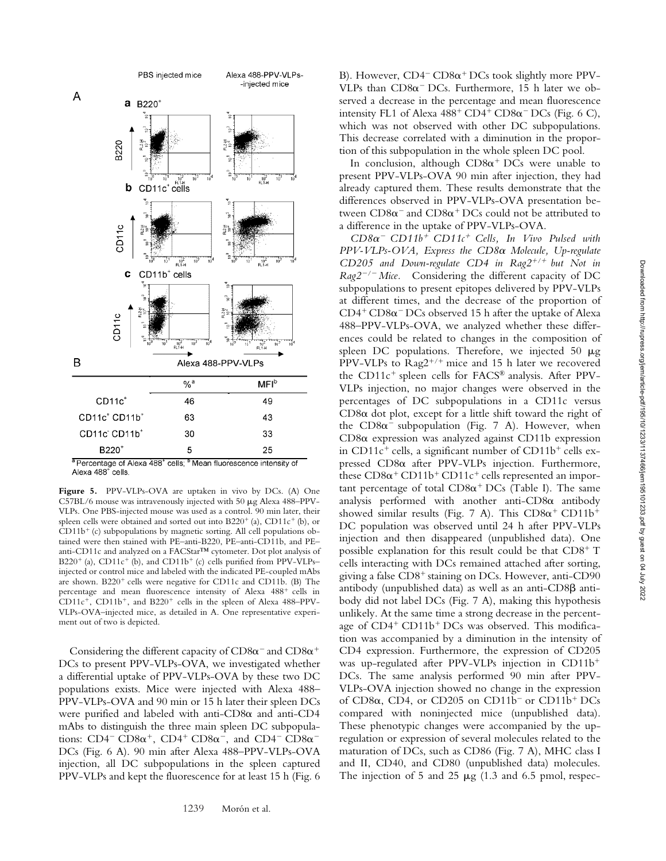

**Figure 5.** PPV-VLPs-OVA are uptaken in vivo by DCs. (A) One C57BL/6 mouse was intravenously injected with 50  $\mu$ g Alexa 488-PPV-VLPs. One PBS-injected mouse was used as a control. 90 min later, their spleen cells were obtained and sorted out into  $B220^+$  (a),  $CD11c^+$  (b), or  $CD11b<sup>+</sup>$  (c) subpopulations by magnetic sorting. All cell populations obtained were then stained with PE–anti-B220, PE–anti-CD11b, and PE– anti-CD11c and analyzed on a FACStar™ cytometer. Dot plot analysis of  $B220^+$  (a), CD11c<sup>+</sup> (b), and CD11b<sup>+</sup> (c) cells purified from PPV-VLPs– injected or control mice and labeled with the indicated PE-coupled mAbs are shown.  $B220<sup>+</sup>$  cells were negative for CD11c and CD11b. (B) The percentage and mean fluorescence intensity of Alexa 488<sup>+</sup> cells in  $CD11c^+$ ,  $CD11b^+$ , and  $B220^+$  cells in the spleen of Alexa 488-PPV-VLPs-OVA–injected mice, as detailed in A. One representative experiment out of two is depicted.

Considering the different capacity of CD8 $\alpha^-$  and CD8 $\alpha^+$ DCs to present PPV-VLPs-OVA, we investigated whether a differential uptake of PPV-VLPs-OVA by these two DC populations exists. Mice were injected with Alexa 488– PPV-VLPs-OVA and 90 min or 15 h later their spleen DCs were purified and labeled with anti-CD8 $\alpha$  and anti-CD4 mAbs to distinguish the three main spleen DC subpopulations:  $CD4$ <sup>-</sup>  $CD8\alpha$ <sup>+</sup>,  $CD4$ <sup>+</sup>  $CD8\alpha$ <sup>-</sup>, and  $CD4$ <sup>-</sup>  $CD8\alpha$ <sup>-</sup> DCs (Fig. 6 A). 90 min after Alexa 488–PPV-VLPs-OVA injection, all DC subpopulations in the spleen captured PPV-VLPs and kept the fluorescence for at least 15 h (Fig. 6 B). However, CD4<sup>-</sup> CD8 $\alpha$ <sup>+</sup> DCs took slightly more PPV-VLPs than  $CD8\alpha$ <sup>-</sup> DCs. Furthermore, 15 h later we observed a decrease in the percentage and mean fluorescence intensity FL1 of Alexa  $488^+$  CD4<sup>+</sup> CD8 $\alpha$ <sup>-</sup> DCs (Fig. 6 C), which was not observed with other DC subpopulations. This decrease correlated with a diminution in the proportion of this subpopulation in the whole spleen DC pool.

In conclusion, although  $CD8\alpha^+$  DCs were unable to present PPV-VLPs-OVA 90 min after injection, they had already captured them. These results demonstrate that the differences observed in PPV-VLPs-OVA presentation between  $CD8\alpha^-$  and  $CD8\alpha^+$  DCs could not be attributed to a difference in the uptake of PPV-VLPs-OVA.

 $CD8\alpha$ <sup>-</sup>  $CD11b$ <sup>+</sup>  $CD11c$ <sup>+</sup> Cells, In Vivo Pulsed with PPV-VLPs-OVA, Express the CD8 $\alpha$  Molecule, Up-regulate *CD205* and *Down-regulate CD4* in Rag2<sup>+/+</sup> but Not in  $Rag2^{-/-}$  *Mice.* Considering the different capacity of DC subpopulations to present epitopes delivered by PPV-VLPs at different times, and the decrease of the proportion of  $CD4^+CD8\alpha$ <sup>-</sup> DCs observed 15 h after the uptake of Alexa 488–PPV-VLPs-OVA, we analyzed whether these differences could be related to changes in the composition of spleen DC populations. Therefore, we injected 50  $\mu$ g PPV-VLPs to  $\text{Rag2}^{+/+}$  mice and 15 h later we recovered the CD11 $c^+$  spleen cells for FACS® analysis. After PPV-VLPs injection, no major changes were observed in the percentages of DC subpopulations in a CD11c versus  $CD8\alpha$  dot plot, except for a little shift toward the right of the  $CD8\alpha^-$  subpopulation (Fig. 7 A). However, when CD8 $\alpha$  expression was analyzed against CD11b expression in  $CD11c^+$  cells, a significant number of  $CD11b^+$  cells expressed CD8 $\alpha$  after PPV-VLPs injection. Furthermore, these  $\text{CD8}\alpha^+\text{CD11b}^+\text{CD11c}^+$  cells represented an important percentage of total  $CD8\alpha^+$  DCs (Table I). The same analysis performed with another anti- $CD8\alpha$  antibody showed similar results (Fig. 7 A). This  $CD8\alpha^+$   $CD11b^+$ DC population was observed until 24 h after PPV-VLPs injection and then disappeared (unpublished data). One possible explanation for this result could be that  $CD8^+$  T cells interacting with DCs remained attached after sorting, giving a false  $CD8<sup>+</sup>$  staining on DCs. However, anti-CD90 antibody (unpublished data) as well as an anti- $CD8\beta$  antibody did not label DCs (Fig. 7 A), making this hypothesis unlikely. At the same time a strong decrease in the percentage of  $CD4^+$   $CD11b^+$   $DCs$  was observed. This modification was accompanied by a diminution in the intensity of CD4 expression. Furthermore, the expression of CD205 was up-regulated after PPV-VLPs injection in CD11b DCs. The same analysis performed 90 min after PPV-VLPs-OVA injection showed no change in the expression of CD8 $\alpha$ , CD4, or CD205 on CD11b<sup>-</sup> or CD11b<sup>+</sup> DCs compared with noninjected mice (unpublished data). These phenotypic changes were accompanied by the upregulation or expression of several molecules related to the maturation of DCs, such as CD86 (Fig. 7 A), MHC class I and II, CD40, and CD80 (unpublished data) molecules. The injection of 5 and 25  $\mu$ g (1.3 and 6.5 pmol, respec-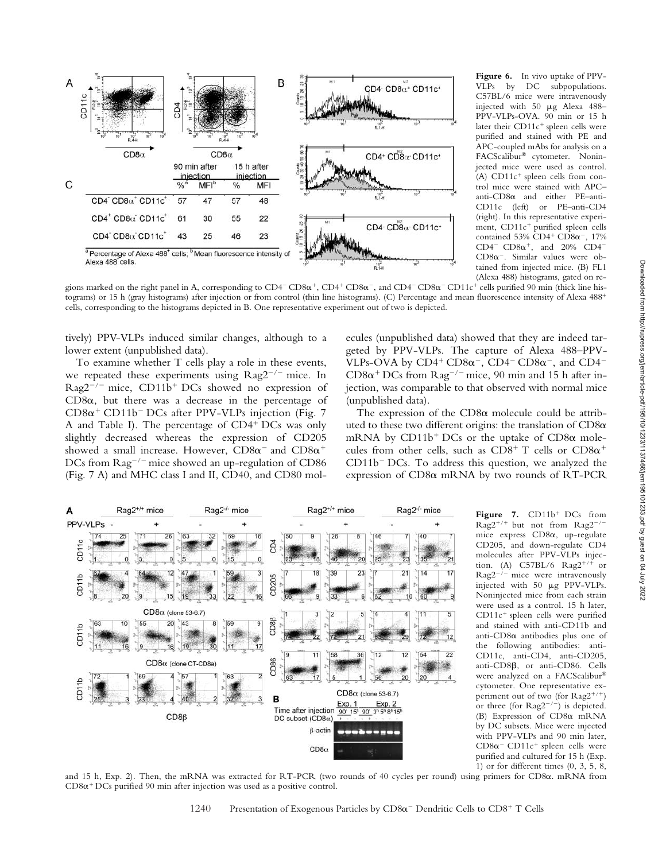

**Figure 6.** In vivo uptake of PPV-VLPs by DC subpopulations. C57BL/6 mice were intravenously injected with 50  $\mu$ g Alexa 488-PPV-VLPs-OVA. 90 min or 15 h later their  $CD11c<sup>+</sup>$  spleen cells were purified and stained with PE and APC-coupled mAbs for analysis on a FACScalibur® cytometer. Noninjected mice were used as control. (A)  $CD11c$ <sup>+</sup> spleen cells from control mice were stained with APC–  $anti-CD8\alpha$  and either PE–anti-CD11c (left) or PE–anti-CD4 (right). In this representative experiment, CD11c<sup>+</sup> purified spleen cells contained  $53\%$  CD4<sup>+</sup> CD8 $\alpha^-$ , 17% CD4<sup>-</sup> CD8 $\alpha$ <sup>+</sup>, and 20% CD4<sup>-</sup>  $CD8\alpha^{-}$ . Similar values were obtained from injected mice. (B) FL1 (Alexa 488) histograms, gated on re-

gions marked on the right panel in A, corresponding to CD4<sup>-</sup> CD8 $\alpha^+$ , CD4<sup>+</sup> CD8 $\alpha^-$ , and CD4<sup>-</sup> CD8 $\alpha^-$  CD11c<sup>+</sup> cells purified 90 min (thick line histograms) or 15 h (gray histograms) after injection or from control (thin line histograms). (C) Percentage and mean fluorescence intensity of Alexa 488 cells, corresponding to the histograms depicted in B. One representative experiment out of two is depicted.

tively) PPV-VLPs induced similar changes, although to a lower extent (unpublished data).

To examine whether T cells play a role in these events, we repeated these experiments using  $\text{Rag2}^{-/-}$  mice. In  $Rag2^{-/-}$  mice, CD11b<sup>+</sup> DCs showed no expression of  $CD8\alpha$ , but there was a decrease in the percentage of  $CD8\alpha$ <sup>+</sup> CD11b<sup>-</sup> DCs after PPV-VLPs injection (Fig. 7 A and Table I). The percentage of  $CD4^+$  DCs was only slightly decreased whereas the expression of CD205 showed a small increase. However,  $CD8\alpha^{-}$  and  $CD8\alpha^{+}$ DCs from  $\text{Rag}^{-/-}$  mice showed an up-regulation of CD86 (Fig. 7 A) and MHC class I and II, CD40, and CD80 mol-

ecules (unpublished data) showed that they are indeed targeted by PPV-VLPs. The capture of Alexa 488–PPV-VLPs-OVA by  $CD4^+$   $CD8\alpha^-$ ,  $CD4^ CD8\alpha^-$ , and  $CD4^ CD8\alpha + DCs$  from  $Rag^{-/-}$  mice, 90 min and 15 h after injection, was comparable to that observed with normal mice (unpublished data).

The expression of the  $CD8\alpha$  molecule could be attributed to these two different origins: the translation of  $CD8\alpha$ mRNA by  $CD11b<sup>+</sup> DCs$  or the uptake of  $CD8\alpha$  molecules from other cells, such as  $CD8^+$  T cells or  $CD8\alpha^+$  $CD11b$ <sup>-</sup> DCs. To address this question, we analyzed the expression of CD8 $\alpha$  mRNA by two rounds of RT-PCR



Figure 7. CD11b<sup>+</sup> DCs from  $Rag2^{+/+}$  but not from  $Rag2^{-}$ mice express CD8 $\alpha$ , up-regulate CD205, and down-regulate CD4 molecules after PPV-VLPs injection. (A)  $C57BL/6$  Rag2<sup>+/+</sup> or  $Rag2^{-/-}$  mice were intravenously injected with 50 µg PPV-VLPs. Noninjected mice from each strain were used as a control. 15 h later,  $CD11c<sup>+</sup>$  spleen cells were purified and stained with anti-CD11b and anti-CD8 $\alpha$  antibodies plus one of the following antibodies: anti-CD11c, anti-CD4, anti-CD205, anti-CD8 $\beta$ , or anti-CD86. Cells were analyzed on a FACScalibur® cytometer. One representative experiment out of two (for Rag2<sup>+/+</sup>) or three (for  $Rag2^{-/-}$ ) is depicted. (B) Expression of CD8 $\alpha$  mRNA by DC subsets. Mice were injected with PPV-VLPs and 90 min later,  $CD8\alpha$ <sup>-</sup>  $CD11c$ <sup>+</sup> spleen cells were purified and cultured for 15 h (Exp. 1) or for different times (0, 3, 5, 8,

and 15 h, Exp. 2). Then, the mRNA was extracted for RT-PCR (two rounds of 40 cycles per round) using primers for CD8 $\alpha$ . mRNA from  $CD8\alpha$ <sup>+</sup> DCs purified 90 min after injection was used as a positive control.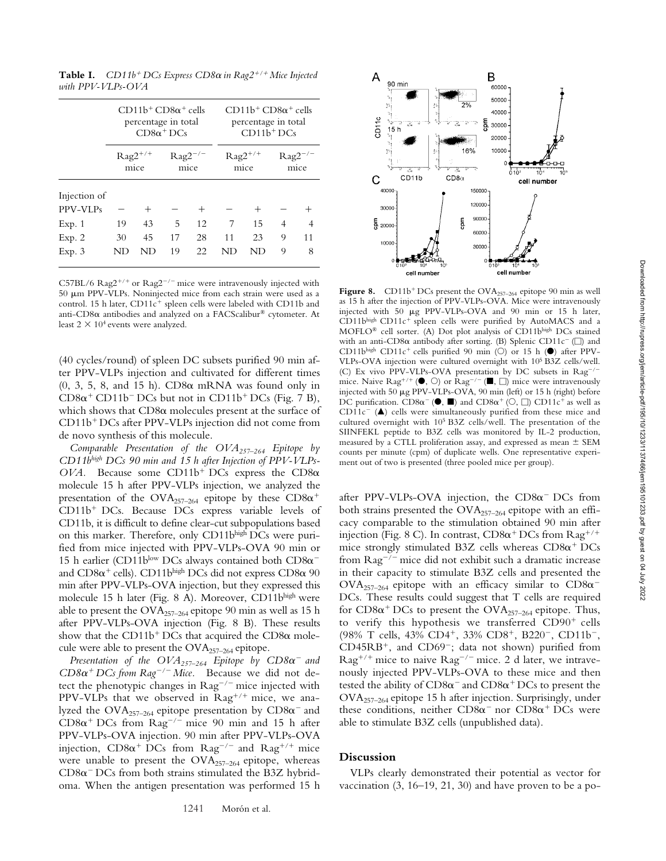**Table I.**  $CD11b^+DCs$  Express  $CD8\alpha$  in Rag2<sup>+/+</sup> Mice Injected *with PPV-VLPs-OVA*

|                          | $CD11b^+CD8\alpha^+$ cells<br>percentage in total<br>$CD8\alpha^+DCs$ |      |                             |      | $CD11b^+CD8\alpha^+$ cells<br>percentage in total<br>$CD11b+DCs$ |      |                       |    |
|--------------------------|-----------------------------------------------------------------------|------|-----------------------------|------|------------------------------------------------------------------|------|-----------------------|----|
|                          | $\text{Rag}2^{+/+}$<br>mice                                           |      | $\text{Rag2}^{-/-}$<br>mice |      | $\text{Rag}2^{+/+}$<br>mice                                      |      | $\rm{Rag2}^-$<br>mice |    |
| Injection of<br>PPV-VLPs |                                                                       | $^+$ |                             | $^+$ |                                                                  | $^+$ |                       |    |
| Exp. 1                   | 19                                                                    | 43   | 5                           | 12   | 7                                                                | 15   | 4                     | 4  |
| Exp. 2                   | 30                                                                    | 45   | 17                          | 28   | 11                                                               | 23   | 9                     | 11 |
| Exp. 3                   | ND                                                                    | ND   | 19                          | 22   | ND                                                               | ND   | 9                     | 8  |

C57BL/6 Rag2<sup>+/+</sup> or Rag2<sup>-/-</sup> mice were intravenously injected with 50 µm PPV-VLPs. Noninjected mice from each strain were used as a control. 15 h later,  $CD11c^{+}$  spleen cells were labeled with CD11b and anti-CD8 $\alpha$  antibodies and analyzed on a FACScalibur® cytometer. At least  $2 \times 10^4$  events were analyzed.

(40 cycles/round) of spleen DC subsets purified 90 min after PPV-VLPs injection and cultivated for different times  $(0, 3, 5, 8, \text{ and } 15 \text{ h})$ . CD8 $\alpha$  mRNA was found only in  $CD8\alpha^+$  CD11b<sup>-</sup> DCs but not in CD11b<sup>+</sup> DCs (Fig. 7 B), which shows that  $CD8\alpha$  molecules present at the surface of CD11b<sup>+</sup> DCs after PPV-VLPs injection did not come from de novo synthesis of this molecule.

*Comparable Presentation of the OVA257–264 Epitope by CD11bhigh DCs 90 min and 15 h after Injection of PPV-VLPs-* $OVA$ . Because some CD11b<sup>+</sup> DCs express the CD8 $\alpha$ molecule 15 h after PPV-VLPs injection, we analyzed the presentation of the  $\text{OVA}_{257-264}$  epitope by these  $\text{CD8}\alpha^+$ CD11b<sup>+</sup> DCs. Because DCs express variable levels of CD11b, it is difficult to define clear-cut subpopulations based on this marker. Therefore, only CD11bhigh DCs were purified from mice injected with PPV-VLPs-OVA 90 min or 15 h earlier (CD11blow DCs always contained both  $CD8\alpha^$ and  $CD8\alpha^+$  cells).  $CD11b^{\text{high}}$  DCs did not express  $CD8\alpha$   $90$ min after PPV-VLPs-OVA injection, but they expressed this molecule 15 h later (Fig. 8 A). Moreover, CD11bhigh were able to present the  $OVA_{257-264}$  epitope 90 min as well as 15 h after PPV-VLPs-OVA injection (Fig. 8 B). These results show that the CD11b<sup>+</sup> DCs that acquired the CD8 $\alpha$  molecule were able to present the OVA<sub>257-264</sub> epitope.

*Presentation of the*  $OVA_{257-264}$  *Epitope by*  $CD8\alpha^-$  *and*  $CD8\alpha^+$  *DCs from Rag<sup>-/-</sup> Mice*. Because we did not detect the phenotypic changes in  $\text{Rag}^{-/-}$  mice injected with PPV-VLPs that we observed in  $\text{Rag}^{+/+}$  mice, we analyzed the  $\text{OVA}_{257-264}$  epitope presentation by  $\text{CD8}\alpha^-$  and  $CD8\alpha^+$  DCs from Rag<sup>-/-</sup> mice 90 min and 15 h after PPV-VLPs-OVA injection. 90 min after PPV-VLPs-OVA injection,  $CD8\alpha^+$  DCs from  $Rag^{-/-}$  and  $Rag^{+/+}$  mice were unable to present the OVA<sub>257-264</sub> epitope, whereas  $CD8\alpha$ <sup>-</sup> DCs from both strains stimulated the B3Z hybridoma. When the antigen presentation was performed 15 h



**Figure 8.** CD11b<sup>+</sup> DCs present the  $\text{OVA}_{257-264}$  epitope 90 min as well as 15 h after the injection of PPV-VLPs-OVA. Mice were intravenously injected with 50  $\mu$ g PPV-VLPs-OVA and 90 min or 15 h later,  $CD11b<sup>high</sup>$  CD11 $c<sup>+</sup>$  spleen cells were purified by AutoMACS and a MOFLO® cell sorter. (A) Dot plot analysis of CD11bhigh DCs stained with an anti-CD8 $\alpha$  antibody after sorting. (B) Splenic CD11c<sup>-</sup> ( $\square$ ) and CD11bhigh CD11c<sup>+</sup> cells purified 90 min (O) or 15 h ( $\bullet$ ) after PPV-VLPs-OVA injection were cultured overnight with 105 B3Z cells/well. (C) Ex vivo PPV-VLPs-OVA presentation by DC subsets in Rag<sup>-/-</sup> mice. Naive Rag<sup>+/+</sup> ( $\bullet$ ,  $\circlearrowright)$  or Rag<sup>-/-</sup> ( $\blacksquare$ ,  $\Box$ ) mice were intravenously injected with  $50 \mu g$  PPV-VLPs-OVA,  $90 \text{ min}$  (left) or 15 h (right) before DC purification.  $CD8\alpha^{-}$  ( $\bullet$ ,  $\blacksquare$ ) and  $CD8\alpha^{+}$  ( $\circ$ ,  $\Box$ )  $CD11c^{+}$  as well as  $CD11c^-$  ( $\triangle$ ) cells were simultaneously purified from these mice and cultured overnight with 105 B3Z cells/well. The presentation of the SIINFEKL peptide to B3Z cells was monitored by IL-2 production, measured by a CTLL proliferation assay, and expressed as mean  $\pm$  SEM counts per minute (cpm) of duplicate wells. One representative experiment out of two is presented (three pooled mice per group).

after PPV-VLPs-OVA injection, the  $CD8\alpha$ <sup>-</sup> DCs from both strains presented the  $OVA_{257-264}$  epitope with an efficacy comparable to the stimulation obtained 90 min after injection (Fig. 8 C). In contrast,  $CD8\alpha^+DCs$  from  $\text{Rag}^{+/+}$ mice strongly stimulated B3Z cells whereas  $CD8\alpha^+$  DCs from  $\text{Rag}^{-/-}$  mice did not exhibit such a dramatic increase in their capacity to stimulate B3Z cells and presented the  $\text{OVA}_{257-264}$  epitope with an efficacy similar to  $\text{CD8}\alpha^{-}$ DCs. These results could suggest that T cells are required for CD8 $\alpha$ <sup>+</sup> DCs to present the OVA<sub>257–264</sub> epitope. Thus, to verify this hypothesis we transferred  $CD90<sup>+</sup>$  cells (98% T cells, 43% CD4<sup>+</sup>, 33% CD8<sup>+</sup>, B220<sup>-</sup>, CD11b<sup>-</sup>,  $CD45RB^{+}$ , and  $CD69^{-}$ ; data not shown) purified from  $\text{Rag}^{+/+}$  mice to naive  $\text{Rag}^{-/-}$  mice. 2 d later, we intravenously injected PPV-VLPs-OVA to these mice and then tested the ability of  $CD8\alpha^-$  and  $CD8\alpha^+$  DCs to present the OVA257–264 epitope 15 h after injection. Surprisingly, under these conditions, neither  $CD8\alpha$ <sup>-</sup> nor  $CD8\alpha$ <sup>+</sup> DCs were able to stimulate B3Z cells (unpublished data).

# **Discussion**

VLPs clearly demonstrated their potential as vector for vaccination (3, 16–19, 21, 30) and have proven to be a po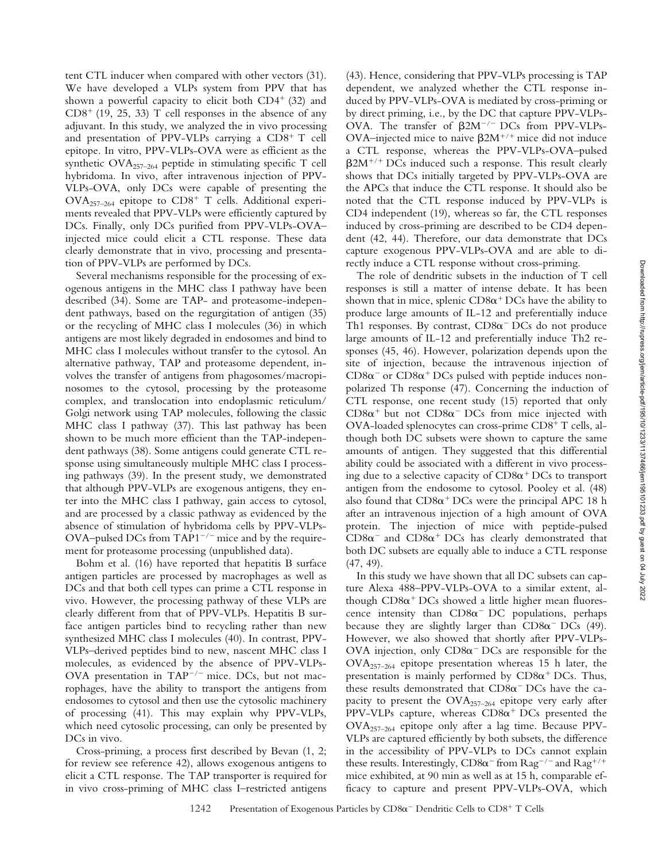tent CTL inducer when compared with other vectors (31). We have developed a VLPs system from PPV that has shown a powerful capacity to elicit both  $CD4^+$  (32) and  $CD8<sup>+</sup>$  (19, 25, 33) T cell responses in the absence of any adjuvant. In this study, we analyzed the in vivo processing and presentation of PPV-VLPs carrying a  $CD8^+$  T cell epitope. In vitro, PPV-VLPs-OVA were as efficient as the synthetic  $OVA_{257-264}$  peptide in stimulating specific T cell hybridoma. In vivo, after intravenous injection of PPV-VLPs-OVA, only DCs were capable of presenting the  $OVA_{257-264}$  epitope to  $CD8^+$  T cells. Additional experiments revealed that PPV-VLPs were efficiently captured by DCs. Finally, only DCs purified from PPV-VLPs-OVA– injected mice could elicit a CTL response. These data clearly demonstrate that in vivo, processing and presentation of PPV-VLPs are performed by DCs.

Several mechanisms responsible for the processing of exogenous antigens in the MHC class I pathway have been described (34). Some are TAP- and proteasome-independent pathways, based on the regurgitation of antigen (35) or the recycling of MHC class I molecules (36) in which antigens are most likely degraded in endosomes and bind to MHC class I molecules without transfer to the cytosol. An alternative pathway, TAP and proteasome dependent, involves the transfer of antigens from phagosomes/macropinosomes to the cytosol, processing by the proteasome complex, and translocation into endoplasmic reticulum/ Golgi network using TAP molecules, following the classic MHC class I pathway (37). This last pathway has been shown to be much more efficient than the TAP-independent pathways (38). Some antigens could generate CTL response using simultaneously multiple MHC class I processing pathways (39). In the present study, we demonstrated that although PPV-VLPs are exogenous antigens, they enter into the MHC class I pathway, gain access to cytosol, and are processed by a classic pathway as evidenced by the absence of stimulation of hybridoma cells by PPV-VLPs-OVA–pulsed DCs from  $TAP1^{-/-}$  mice and by the requirement for proteasome processing (unpublished data).

Bohm et al. (16) have reported that hepatitis B surface antigen particles are processed by macrophages as well as DCs and that both cell types can prime a CTL response in vivo. However, the processing pathway of these VLPs are clearly different from that of PPV-VLPs. Hepatitis B surface antigen particles bind to recycling rather than new synthesized MHC class I molecules (40). In contrast, PPV-VLPs–derived peptides bind to new, nascent MHC class I molecules, as evidenced by the absence of PPV-VLPs-OVA presentation in TAP $^{-/-}$  mice. DCs, but not macrophages, have the ability to transport the antigens from endosomes to cytosol and then use the cytosolic machinery of processing (41). This may explain why PPV-VLPs, which need cytosolic processing, can only be presented by DCs in vivo.

Cross-priming, a process first described by Bevan (1, 2; for review see reference 42), allows exogenous antigens to elicit a CTL response. The TAP transporter is required for in vivo cross-priming of MHC class I–restricted antigens

(43). Hence, considering that PPV-VLPs processing is TAP dependent, we analyzed whether the CTL response induced by PPV-VLPs-OVA is mediated by cross-priming or by direct priming, i.e., by the DC that capture PPV-VLPs-OVA. The transfer of  $\beta 2M^{-/-}$  DCs from PPV-VLPs-OVA–injected mice to naive  $\beta 2M^{+/+}$  mice did not induce a CTL response, whereas the PPV-VLPs-OVA–pulsed  $\beta$ 2M<sup>+/+</sup> DCs induced such a response. This result clearly shows that DCs initially targeted by PPV-VLPs-OVA are the APCs that induce the CTL response. It should also be noted that the CTL response induced by PPV-VLPs is CD4 independent (19), whereas so far, the CTL responses induced by cross-priming are described to be CD4 dependent (42, 44). Therefore, our data demonstrate that DCs capture exogenous PPV-VLPs-OVA and are able to directly induce a CTL response without cross-priming.

The role of dendritic subsets in the induction of T cell responses is still a matter of intense debate. It has been shown that in mice, splenic  $CD8\alpha^+DCs$  have the ability to produce large amounts of IL-12 and preferentially induce Th1 responses. By contrast,  $CD8\alpha$ <sup>-</sup> DCs do not produce large amounts of IL-12 and preferentially induce Th2 responses (45, 46). However, polarization depends upon the site of injection, because the intravenous injection of  $CD8\alpha^-$  or  $CD8\alpha^+$  DCs pulsed with peptide induces nonpolarized Th response (47). Concerning the induction of CTL response, one recent study (15) reported that only  $CD8\alpha^+$  but not  $CD8\alpha^-$  DCs from mice injected with  $OVA$ -loaded splenocytes can cross-prime  $CD8^+$  T cells, although both DC subsets were shown to capture the same amounts of antigen. They suggested that this differential ability could be associated with a different in vivo processing due to a selective capacity of  $CD8\alpha^+$  DCs to transport antigen from the endosome to cytosol. Pooley et al. (48) also found that  $CD8\alpha^+$  DCs were the principal APC 18 h after an intravenous injection of a high amount of OVA protein. The injection of mice with peptide-pulsed  $CD8\alpha^{-}$  and  $CD8\alpha^{+}$  DCs has clearly demonstrated that both DC subsets are equally able to induce a CTL response (47, 49).

In this study we have shown that all DC subsets can capture Alexa 488–PPV-VLPs-OVA to a similar extent, although  $CDS\alpha^+DCs$  showed a little higher mean fluorescence intensity than  $CD8\alpha$ <sup>-</sup> DC populations, perhaps because they are slightly larger than  $CD8\alpha$ <sup>-</sup> DCs (49). However, we also showed that shortly after PPV-VLPs-OVA injection, only  $CD8\alpha$ <sup>-</sup> DCs are responsible for the OVA257–264 epitope presentation whereas 15 h later, the presentation is mainly performed by  $CD8\alpha^+$  DCs. Thus, these results demonstrated that  $CD8\alpha$ <sup>-</sup> DCs have the capacity to present the OVA<sub>257-264</sub> epitope very early after PPV-VLPs capture, whereas  $CD8\alpha^+$  DCs presented the OVA257–264 epitope only after a lag time. Because PPV-VLPs are captured efficiently by both subsets, the difference in the accessibility of PPV-VLPs to DCs cannot explain these results. Interestingly,  $CD8\alpha^-$  from  $Rag^{-/-}$  and  $Rag^{+/+}$ mice exhibited, at 90 min as well as at 15 h, comparable efficacy to capture and present PPV-VLPs-OVA, which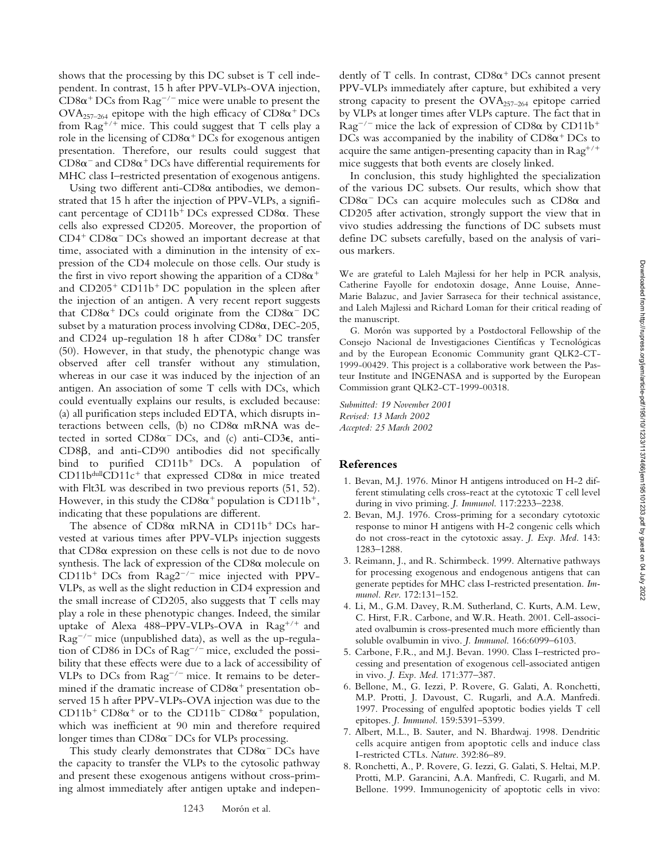shows that the processing by this DC subset is T cell independent. In contrast, 15 h after PPV-VLPs-OVA injection,  $CD8\alpha^+DCs$  from  $Rag^{-/-}$  mice were unable to present the  $\text{OVA}_{257-264}$  epitope with the high efficacy of  $\text{CD8}\alpha^+ \text{DCs}$ from  $\text{Rag}^{+/+}$  mice. This could suggest that T cells play a role in the licensing of  $CD8\alpha^+DCs$  for exogenous antigen presentation. Therefore, our results could suggest that  $CD8\alpha^-$  and  $CD8\alpha^+$  DCs have differential requirements for MHC class I–restricted presentation of exogenous antigens.

Using two different anti-CD8 $\alpha$  antibodies, we demonstrated that 15 h after the injection of PPV-VLPs, a significant percentage of  $CD11b^+DCs$  expressed  $CD8\alpha$ . These cells also expressed CD205. Moreover, the proportion of  $CD4^+$   $CD8\alpha$ <sup>-</sup>  $DCs$  showed an important decrease at that time, associated with a diminution in the intensity of expression of the CD4 molecule on those cells. Our study is the first in vivo report showing the apparition of a  $CD8\alpha^+$ and  $CD205^+$  CD11b<sup>+</sup> DC population in the spleen after the injection of an antigen. A very recent report suggests that  $CD8\alpha^+$  DCs could originate from the  $CD8\alpha^-$  DC subset by a maturation process involving  $CD8\alpha$ , DEC-205, and CD24 up-regulation 18 h after  $CD8\alpha^+$  DC transfer (50). However, in that study, the phenotypic change was observed after cell transfer without any stimulation, whereas in our case it was induced by the injection of an antigen. An association of some T cells with DCs, which could eventually explains our results, is excluded because: (a) all purification steps included EDTA, which disrupts interactions between cells, (b) no CD8 $\alpha$  mRNA was detected in sorted  $CD8\alpha$ <sup>-</sup> DCs, and (c) anti-CD3 $\epsilon$ , anti- $CD8\beta$ , and anti- $CD90$  antibodies did not specifically bind to purified  $CD11b<sup>+</sup>DCs$ . A population of CD11b<sup>dull</sup>CD11c<sup>+</sup> that expressed CD8 $\alpha$  in mice treated with Flt3L was described in two previous reports (51, 52). However, in this study the CD8 $\alpha^+$  population is CD11b<sup>+</sup>, indicating that these populations are different.

The absence of  $CD8\alpha$  mRNA in  $CD11b^+DCs$  harvested at various times after PPV-VLPs injection suggests that  $CD8\alpha$  expression on these cells is not due to de novo synthesis. The lack of expression of the  $CD8\alpha$  molecule on  $CD11b<sup>+</sup> DCs$  from  $Rag2<sup>-/-</sup>$  mice injected with PPV-VLPs, as well as the slight reduction in CD4 expression and the small increase of CD205, also suggests that T cells may play a role in these phenotypic changes. Indeed, the similar uptake of Alexa  $488 - PPV - VLPs - OVA$  in  $Rag^{+/+}$  and  $\text{Rag}^{-/-}$  mice (unpublished data), as well as the up-regulation of CD86 in DCs of  $\text{Rag}^{-/-}$  mice, excluded the possibility that these effects were due to a lack of accessibility of VLPs to DCs from  $\text{Rag}^{-/-}$  mice. It remains to be determined if the dramatic increase of  $CD8\alpha^+$  presentation observed 15 h after PPV-VLPs-OVA injection was due to the CD11b<sup>+</sup> CD8 $\alpha$ <sup>+</sup> or to the CD11b<sup>-</sup> CD8 $\alpha$ <sup>+</sup> population, which was inefficient at 90 min and therefore required longer times than  $CD8\alpha$ <sup>-</sup> DCs for VLPs processing.

This study clearly demonstrates that  $CD8\alpha$ <sup>-</sup> DCs have the capacity to transfer the VLPs to the cytosolic pathway and present these exogenous antigens without cross-priming almost immediately after antigen uptake and indepen-

dently of T cells. In contrast,  $CD8\alpha^+$  DCs cannot present PPV-VLPs immediately after capture, but exhibited a very strong capacity to present the OVA257–264 epitope carried by VLPs at longer times after VLPs capture. The fact that in  $\text{Rag}^{-/-}$  mice the lack of expression of CD8 $\alpha$  by CD11b<sup>+</sup> DCs was accompanied by the inability of  $CD8\alpha^+$  DCs to acquire the same antigen-presenting capacity than in  $\text{Rag}^{+/+}$ mice suggests that both events are closely linked.

In conclusion, this study highlighted the specialization of the various DC subsets. Our results, which show that  $CD8\alpha$ <sup>-</sup> DCs can acquire molecules such as  $CD8\alpha$  and CD205 after activation, strongly support the view that in vivo studies addressing the functions of DC subsets must define DC subsets carefully, based on the analysis of various markers.

We are grateful to Laleh Majlessi for her help in PCR analysis, Catherine Fayolle for endotoxin dosage, Anne Louise, Anne-Marie Balazuc, and Javier Sarraseca for their technical assistance, and Laleh Majlessi and Richard Loman for their critical reading of the manuscript.

G. Morón was supported by a Postdoctoral Fellowship of the Consejo Nacional de Investigaciones Científicas y Tecnológicas and by the European Economic Community grant QLK2-CT-1999-00429. This project is a collaborative work between the Pasteur Institute and INGENASA and is supported by the European Commission grant QLK2-CT-1999-00318.

*Submitted: 19 November 2001 Revised: 13 March 2002 Accepted: 25 March 2002*

# **References**

- 1. Bevan, M.J. 1976. Minor H antigens introduced on H-2 different stimulating cells cross-react at the cytotoxic T cell level during in vivo priming. *J. Immunol*. 117:2233–2238.
- 2. Bevan, M.J. 1976. Cross-priming for a secondary cytotoxic response to minor H antigens with H-2 congenic cells which do not cross-react in the cytotoxic assay. *J. Exp. Med*. 143: 1283–1288.
- 3. Reimann, J., and R. Schirmbeck. 1999. Alternative pathways for processing exogenous and endogenous antigens that can generate peptides for MHC class I-restricted presentation. *Immunol. Rev*. 172:131–152.
- 4. Li, M., G.M. Davey, R.M. Sutherland, C. Kurts, A.M. Lew, C. Hirst, F.R. Carbone, and W.R. Heath. 2001. Cell-associated ovalbumin is cross-presented much more efficiently than soluble ovalbumin in vivo. *J. Immunol*. 166:6099–6103.
- 5. Carbone, F.R., and M.J. Bevan. 1990. Class I–restricted processing and presentation of exogenous cell-associated antigen in vivo. *J. Exp. Med*. 171:377–387.
- 6. Bellone, M., G. Iezzi, P. Rovere, G. Galati, A. Ronchetti, M.P. Protti, J. Davoust, C. Rugarli, and A.A. Manfredi. 1997. Processing of engulfed apoptotic bodies yields T cell epitopes. *J. Immunol*. 159:5391–5399.
- 7. Albert, M.L., B. Sauter, and N. Bhardwaj. 1998. Dendritic cells acquire antigen from apoptotic cells and induce class I-restricted CTLs. *Nature*. 392:86–89.
- 8. Ronchetti, A., P. Rovere, G. Iezzi, G. Galati, S. Heltai, M.P. Protti, M.P. Garancini, A.A. Manfredi, C. Rugarli, and M. Bellone. 1999. Immunogenicity of apoptotic cells in vivo: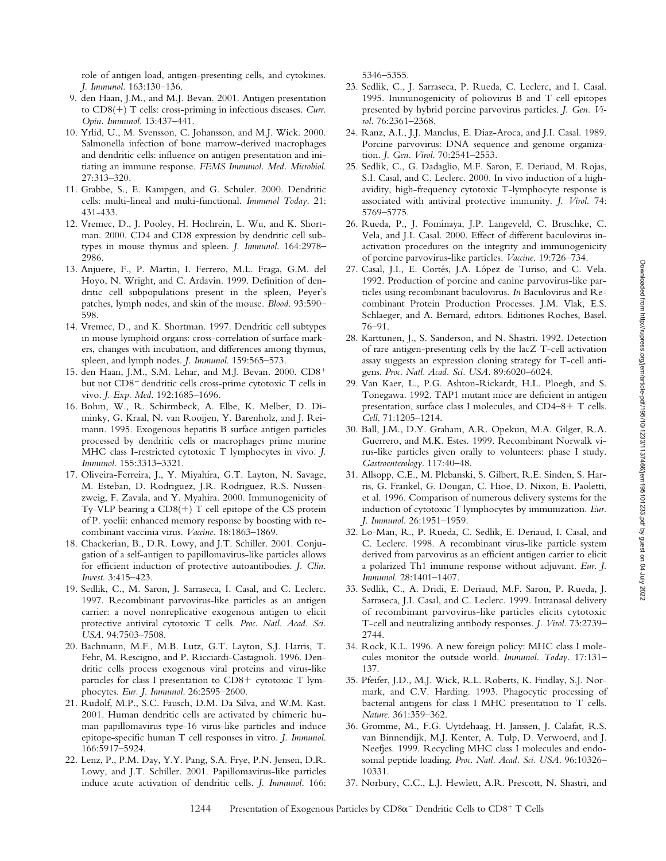role of antigen load, antigen-presenting cells, and cytokines. *J. Immunol*. 163:130–136.

- 9. den Haan, J.M., and M.J. Bevan. 2001. Antigen presentation to CD8(+) T cells: cross-priming in infectious diseases. *Curr*. *Opin. Immunol*. 13:437–441.
- 10. Yrlid, U., M. Svensson, C. Johansson, and M.J. Wick. 2000. Salmonella infection of bone marrow-derived macrophages and dendritic cells: influence on antigen presentation and initiating an immune response. *FEMS Immunol. Med. Microbiol*. 27:313–320.
- 11. Grabbe, S., E. Kampgen, and G. Schuler. 2000. Dendritic cells: multi-lineal and multi-functional. *Immunol Today*. 21: 431-433.
- 12. Vremec, D., J. Pooley, H. Hochrein, L. Wu, and K. Shortman. 2000. CD4 and CD8 expression by dendritic cell subtypes in mouse thymus and spleen. *J. Immunol*. 164:2978– 2986.
- 13. Anjuere, F., P. Martin, I. Ferrero, M.L. Fraga, G.M. del Hoyo, N. Wright, and C. Ardavin. 1999. Definition of dendritic cell subpopulations present in the spleen, Peyer's patches, lymph nodes, and skin of the mouse. *Blood*. 93:590– 598.
- 14. Vremec, D., and K. Shortman. 1997. Dendritic cell subtypes in mouse lymphoid organs: cross-correlation of surface markers, changes with incubation, and differences among thymus, spleen, and lymph nodes. *J. Immunol*. 159:565–573.
- 15. den Haan, J.M., S.M. Lehar, and M.J. Bevan. 2000. CD8 but not CD8<sup>-</sup> dendritic cells cross-prime cytotoxic T cells in vivo. *J. Exp. Med*. 192:1685–1696.
- 16. Bohm, W., R. Schirmbeck, A. Elbe, K. Melber, D. Diminky, G. Kraal, N. van Rooijen, Y. Barenholz, and J. Reimann. 1995. Exogenous hepatitis B surface antigen particles processed by dendritic cells or macrophages prime murine MHC class I-restricted cytotoxic T lymphocytes in vivo. *J. Immunol*. 155:3313–3321.
- 17. Oliveira-Ferreira, J., Y. Miyahira, G.T. Layton, N. Savage, M. Esteban, D. Rodriguez, J.R. Rodriguez, R.S. Nussenzweig, F. Zavala, and Y. Myahira. 2000. Immunogenicity of Ty-VLP bearing a  $CD8(+)$  T cell epitope of the CS protein of P. yoelii: enhanced memory response by boosting with recombinant vaccinia virus. *Vaccine*. 18:1863–1869.
- 18. Chackerian, B., D.R. Lowy, and J.T. Schiller. 2001. Conjugation of a self-antigen to papillomavirus-like particles allows for efficient induction of protective autoantibodies. *J. Clin. Invest*. 3:415–423.
- 19. Sedlik, C., M. Saron, J. Sarraseca, I. Casal, and C. Leclerc. 1997. Recombinant parvovirus-like particles as an antigen carrier: a novel nonreplicative exogenous antigen to elicit protective antiviral cytotoxic T cells. *Proc. Natl. Acad. Sci. USA*. 94:7503–7508.
- 20. Bachmann, M.F., M.B. Lutz, G.T. Layton, S.J. Harris, T. Fehr, M. Rescigno, and P. Ricciardi-Castagnoli. 1996. Dendritic cells process exogenous viral proteins and virus-like particles for class I presentation to  $CD8+$  cytotoxic T lymphocytes. *Eur. J. Immunol*. 26:2595–2600.
- 21. Rudolf, M.P., S.C. Fausch, D.M. Da Silva, and W.M. Kast. 2001. Human dendritic cells are activated by chimeric human papillomavirus type-16 virus-like particles and induce epitope-specific human T cell responses in vitro. *J. Immunol*. 166:5917–5924.
- 22. Lenz, P., P.M. Day, Y.Y. Pang, S.A. Frye, P.N. Jensen, D.R. Lowy, and J.T. Schiller. 2001. Papillomavirus-like particles induce acute activation of dendritic cells. *J. Immunol*. 166:

5346–5355.

- 23. Sedlik, C., J. Sarraseca, P. Rueda, C. Leclerc, and I. Casal. 1995. Immunogenicity of poliovirus B and T cell epitopes presented by hybrid porcine parvovirus particles. *J. Gen. Virol*. 76:2361–2368.
- 24. Ranz, A.I., J.J. Manclus, E. Diaz-Aroca, and J.I. Casal. 1989. Porcine parvovirus: DNA sequence and genome organization. *J. Gen. Virol*. 70:2541–2553.
- 25. Sedlik, C., G. Dadaglio, M.F. Saron, E. Deriaud, M. Rojas, S.I. Casal, and C. Leclerc. 2000. In vivo induction of a highavidity, high-frequency cytotoxic T-lymphocyte response is associated with antiviral protective immunity. *J. Virol*. 74: 5769–5775.
- 26. Rueda, P., J. Fominaya, J.P. Langeveld, C. Bruschke, C. Vela, and J.I. Casal. 2000. Effect of different baculovirus inactivation procedures on the integrity and immunogenicity of porcine parvovirus-like particles. *Vaccine*. 19:726–734.
- 27. Casal, J.I., E. Cortés, J.A. López de Turiso, and C. Vela. 1992. Production of porcine and canine parvovirus-like particles using recombinant baculovirus. *In* Baculovirus and Recombinant Protein Production Processes. J.M. Vlak, E.S. Schlaeger, and A. Bernard, editors. Editiones Roches, Basel. 76–91.
- 28. Karttunen, J., S. Sanderson, and N. Shastri. 1992. Detection of rare antigen-presenting cells by the lacZ T-cell activation assay suggests an expression cloning strategy for T-cell antigens. *Proc. Natl. Acad. Sci. USA*. 89:6020–6024.
- 29. Van Kaer, L., P.G. Ashton-Rickardt, H.L. Ploegh, and S. Tonegawa. 1992. TAP1 mutant mice are deficient in antigen presentation, surface class I molecules, and  $CD4-8+T$  cells. *Cell*. 71:1205–1214.
- 30. Ball, J.M., D.Y. Graham, A.R. Opekun, M.A. Gilger, R.A. Guerrero, and M.K. Estes. 1999. Recombinant Norwalk virus-like particles given orally to volunteers: phase I study. *Gastroenterology*. 117:40–48.
- 31. Allsopp, C.E., M. Plebanski, S. Gilbert, R.E. Sinden, S. Harris, G. Frankel, G. Dougan, C. Hioe, D. Nixon, E. Paoletti, et al. 1996. Comparison of numerous delivery systems for the induction of cytotoxic T lymphocytes by immunization. *Eur. J. Immunol*. 26:1951–1959.
- 32. Lo-Man, R., P. Rueda, C. Sedlik, E. Deriaud, I. Casal, and C. Leclerc. 1998. A recombinant virus-like particle system derived from parvovirus as an efficient antigen carrier to elicit a polarized Th1 immune response without adjuvant. *Eur. J. Immunol*. 28:1401–1407.
- 33. Sedlik, C., A. Dridi, E. Deriaud, M.F. Saron, P. Rueda, J. Sarraseca, J.I. Casal, and C. Leclerc. 1999. Intranasal delivery of recombinant parvovirus-like particles elicits cytotoxic T-cell and neutralizing antibody responses. *J. Virol*. 73:2739– 2744.
- 34. Rock, K.L. 1996. A new foreign policy: MHC class I molecules monitor the outside world. *Immunol. Today*. 17:131– 137.
- 35. Pfeifer, J.D., M.J. Wick, R.L. Roberts, K. Findlay, S.J. Normark, and C.V. Harding. 1993. Phagocytic processing of bacterial antigens for class I MHC presentation to T cells. *Nature*. 361:359–362.
- 36. Gromme, M., F.G. Uytdehaag, H. Janssen, J. Calafat, R.S. van Binnendijk, M.J. Kenter, A. Tulp, D. Verwoerd, and J. Neefjes. 1999. Recycling MHC class I molecules and endosomal peptide loading. *Proc. Natl. Acad. Sci. USA*. 96:10326– 10331.
- 37. Norbury, C.C., L.J. Hewlett, A.R. Prescott, N. Shastri, and